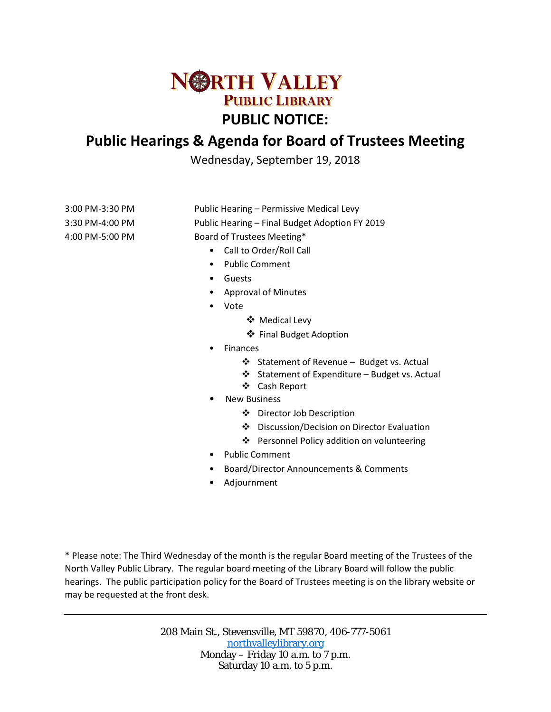

# **Public Hearings & Agenda for Board of Trustees Meeting**

Wednesday, September 19, 2018

3:00 PM-3:30 PM Public Hearing – Permissive Medical Levy 3:30 PM-4:00 PM Public Hearing – Final Budget Adoption FY 2019 4:00 PM-5:00 PM Board of Trustees Meeting\*

- Call to Order/Roll Call
- Public Comment
- Guests
- Approval of Minutes
- Vote
	- Medical Levy
	- ❖ Final Budget Adoption
- Finances
	- Statement of Revenue Budget vs. Actual
	- Statement of Expenditure Budget vs. Actual
	- Cash Report
- **New Business** 
	- Director Job Description
	- ❖ Discussion/Decision on Director Evaluation
	- ❖ Personnel Policy addition on volunteering
- Public Comment
- Board/Director Announcements & Comments
- Adjournment

\* Please note: The Third Wednesday of the month is the regular Board meeting of the Trustees of the North Valley Public Library. The regular board meeting of the Library Board will follow the public hearings. The public participation policy for the Board of Trustees meeting is on the library website or may be requested at the front desk.

> 208 Main St., Stevensville, MT 59870, 406-777-5061 [northvalleylibrary.org](http://www.northvalleylibrary.org/) Monday – Friday 10 a.m. to 7 p.m. Saturday 10 a.m. to 5 p.m.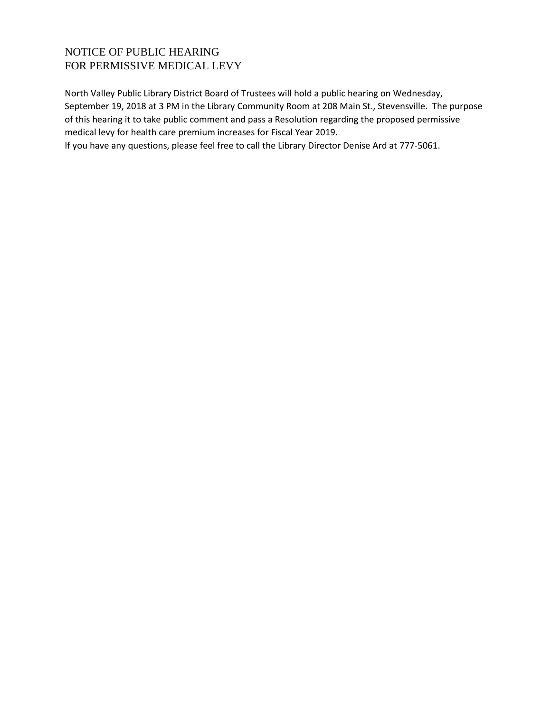# NOTICE OF PUBLIC HEARING FOR PERMISSIVE MEDICAL LEVY

North Valley Public Library District Board of Trustees will hold a public hearing on Wednesday, September 19, 2018 at 3 PM in the Library Community Room at 208 Main St., Stevensville. The purpose of this hearing it to take public comment and pass a Resolution regarding the proposed permissive medical levy for health care premium increases for Fiscal Year 2019.

If you have any questions, please feel free to call the Library Director Denise Ard at 777-5061.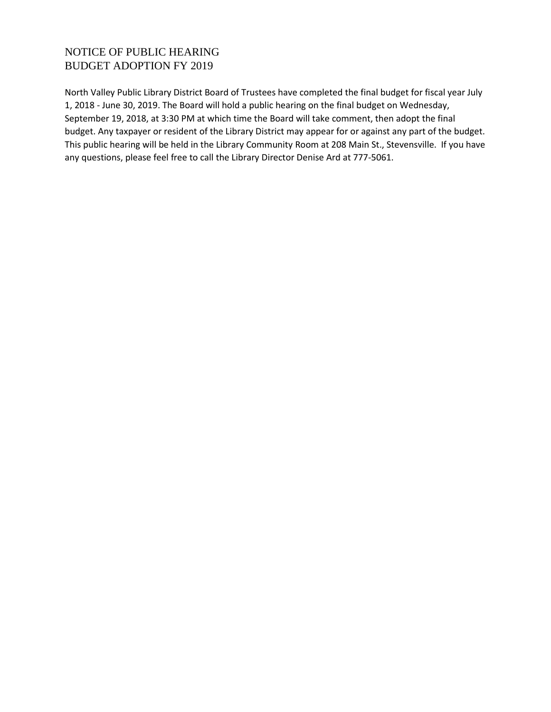# NOTICE OF PUBLIC HEARING BUDGET ADOPTION FY 2019

North Valley Public Library District Board of Trustees have completed the final budget for fiscal year July 1, 2018 - June 30, 2019. The Board will hold a public hearing on the final budget on Wednesday, September 19, 2018, at 3:30 PM at which time the Board will take comment, then adopt the final budget. Any taxpayer or resident of the Library District may appear for or against any part of the budget. This public hearing will be held in the Library Community Room at 208 Main St., Stevensville. If you have any questions, please feel free to call the Library Director Denise Ard at 777-5061.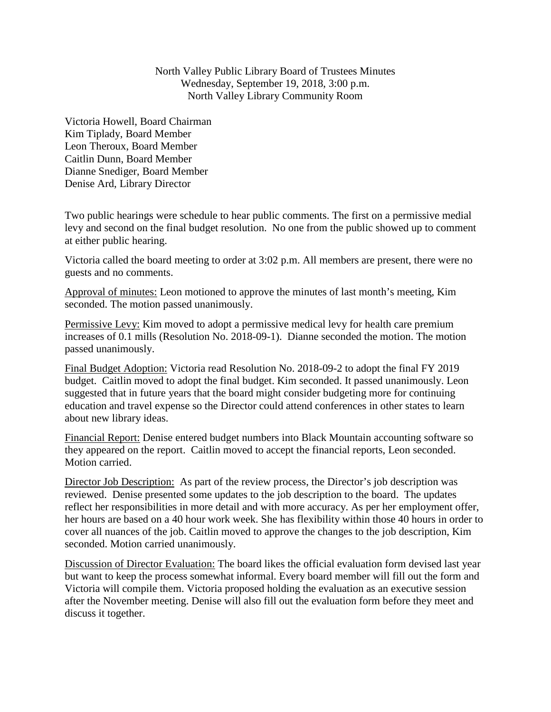North Valley Public Library Board of Trustees Minutes Wednesday, September 19, 2018, 3:00 p.m. North Valley Library Community Room

Victoria Howell, Board Chairman Kim Tiplady, Board Member Leon Theroux, Board Member Caitlin Dunn, Board Member Dianne Snediger, Board Member Denise Ard, Library Director

Two public hearings were schedule to hear public comments. The first on a permissive medial levy and second on the final budget resolution. No one from the public showed up to comment at either public hearing.

Victoria called the board meeting to order at 3:02 p.m. All members are present, there were no guests and no comments.

Approval of minutes: Leon motioned to approve the minutes of last month's meeting, Kim seconded. The motion passed unanimously.

Permissive Levy: Kim moved to adopt a permissive medical levy for health care premium increases of 0.1 mills (Resolution No. 2018-09-1). Dianne seconded the motion. The motion passed unanimously.

Final Budget Adoption: Victoria read Resolution No. 2018-09-2 to adopt the final FY 2019 budget. Caitlin moved to adopt the final budget. Kim seconded. It passed unanimously. Leon suggested that in future years that the board might consider budgeting more for continuing education and travel expense so the Director could attend conferences in other states to learn about new library ideas.

Financial Report: Denise entered budget numbers into Black Mountain accounting software so they appeared on the report. Caitlin moved to accept the financial reports, Leon seconded. Motion carried.

Director Job Description: As part of the review process, the Director's job description was reviewed. Denise presented some updates to the job description to the board. The updates reflect her responsibilities in more detail and with more accuracy. As per her employment offer, her hours are based on a 40 hour work week. She has flexibility within those 40 hours in order to cover all nuances of the job. Caitlin moved to approve the changes to the job description, Kim seconded. Motion carried unanimously.

Discussion of Director Evaluation: The board likes the official evaluation form devised last year but want to keep the process somewhat informal. Every board member will fill out the form and Victoria will compile them. Victoria proposed holding the evaluation as an executive session after the November meeting. Denise will also fill out the evaluation form before they meet and discuss it together.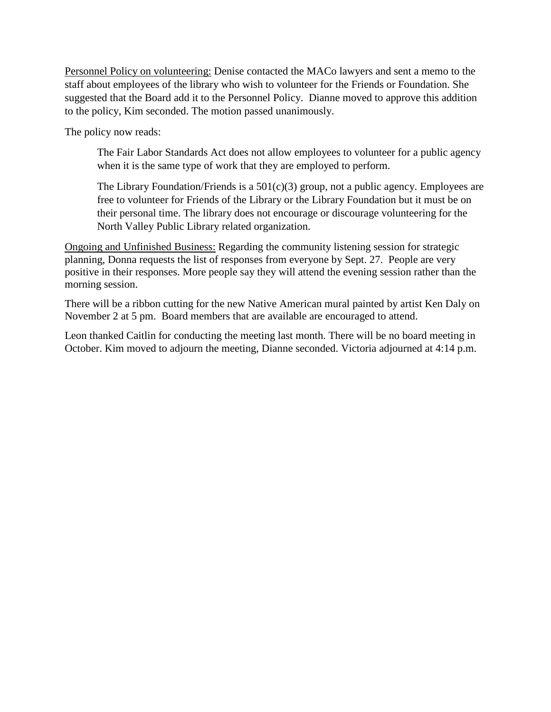Personnel Policy on volunteering: Denise contacted the MACo lawyers and sent a memo to the staff about employees of the library who wish to volunteer for the Friends or Foundation. She suggested that the Board add it to the Personnel Policy. Dianne moved to approve this addition to the policy, Kim seconded. The motion passed unanimously.

The policy now reads:

The Fair Labor Standards Act does not allow employees to volunteer for a public agency when it is the same type of work that they are employed to perform.

The Library Foundation/Friends is a  $501(c)(3)$  group, not a public agency. Employees are free to volunteer for Friends of the Library or the Library Foundation but it must be on their personal time. The library does not encourage or discourage volunteering for the North Valley Public Library related organization.

Ongoing and Unfinished Business: Regarding the community listening session for strategic planning, Donna requests the list of responses from everyone by Sept. 27. People are very positive in their responses. More people say they will attend the evening session rather than the morning session.

There will be a ribbon cutting for the new Native American mural painted by artist Ken Daly on November 2 at 5 pm. Board members that are available are encouraged to attend.

Leon thanked Caitlin for conducting the meeting last month. There will be no board meeting in October. Kim moved to adjourn the meeting, Dianne seconded. Victoria adjourned at 4:14 p.m.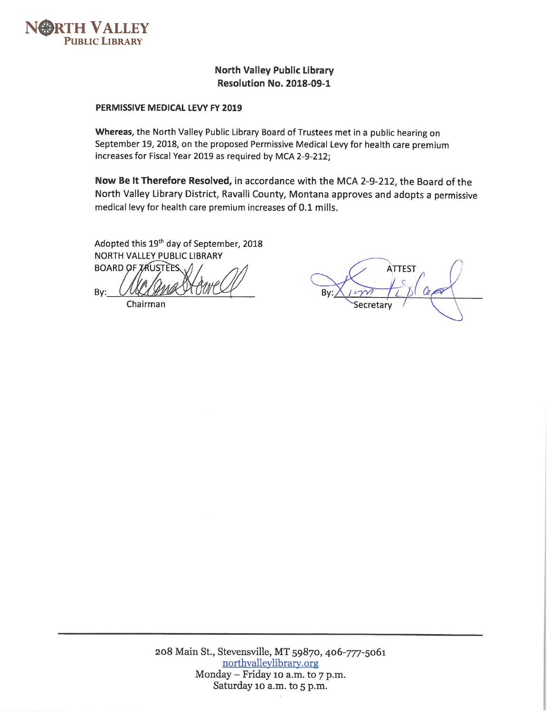

## **North Valley Public Library Resolution No. 2018-09-1**

#### PERMISSIVE MEDICAL LEVY FY 2019

Whereas, the North Valley Public Library Board of Trustees met in a public hearing on September 19, 2018, on the proposed Permissive Medical Levy for health care premium increases for Fiscal Year 2019 as required by MCA 2-9-212;

Now Be It Therefore Resolved, in accordance with the MCA 2-9-212, the Board of the North Valley Library District, Ravalli County, Montana approves and adopts a permissive medical levy for health care premium increases of 0.1 mills.

Adopted this 19th day of September, 2018 NORTH VALLEY PUBLIC LIBRARY

**BOARD OF TRUSTEES** By:

Chairman

**ATTEST** Bv: Secretary